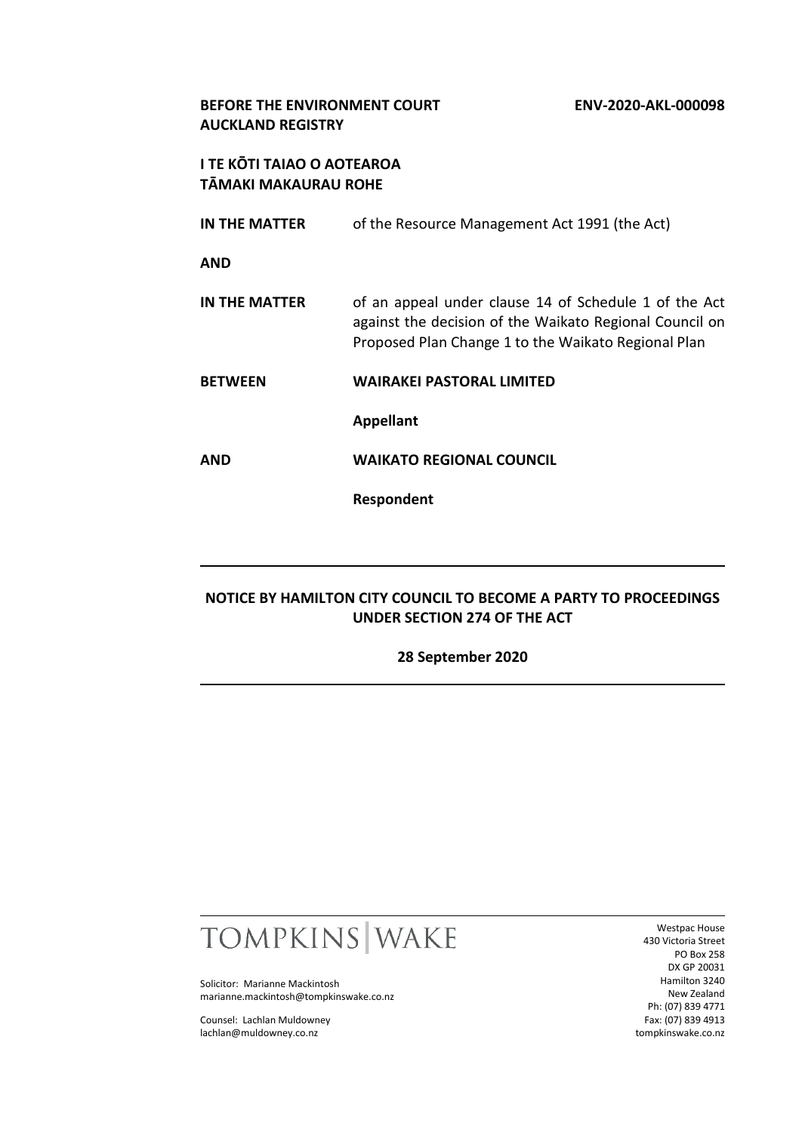#### **BEFORE THE ENVIRONMENT COURT ENV-2020-AKL-000098 AUCKLAND REGISTRY**

## **I TE KŌTI TAIAO O AOTEAROA TĀMAKI MAKAURAU ROHE**

- **IN THE MATTER** of the Resource Management Act 1991 (the Act) **AND IN THE MATTER** of an appeal under clause 14 of Schedule 1 of the Act against the decision of the Waikato Regional Council on Proposed Plan Change 1 to the Waikato Regional Plan **BETWEEN WAIRAKEI PASTORAL LIMITED Appellant**
- **AND WAIKATO REGIONAL COUNCIL**

**Respondent**

## **NOTICE BY HAMILTON CITY COUNCIL TO BECOME A PARTY TO PROCEEDINGS UNDER SECTION 274 OF THE ACT**

**28 September 2020**



Solicitor: Marianne Mackintosh marianne.mackintosh@tompkinswake.co.nz

Counsel: Lachlan Muldowney lachlan@muldowney.co.nz

Westpac House 430 Victoria Street PO Box 258 DX GP 20031 Hamilton 3240 New Zealand Ph: (07) 839 4771 Fax: (07) 839 4913 tompkinswake.co.nz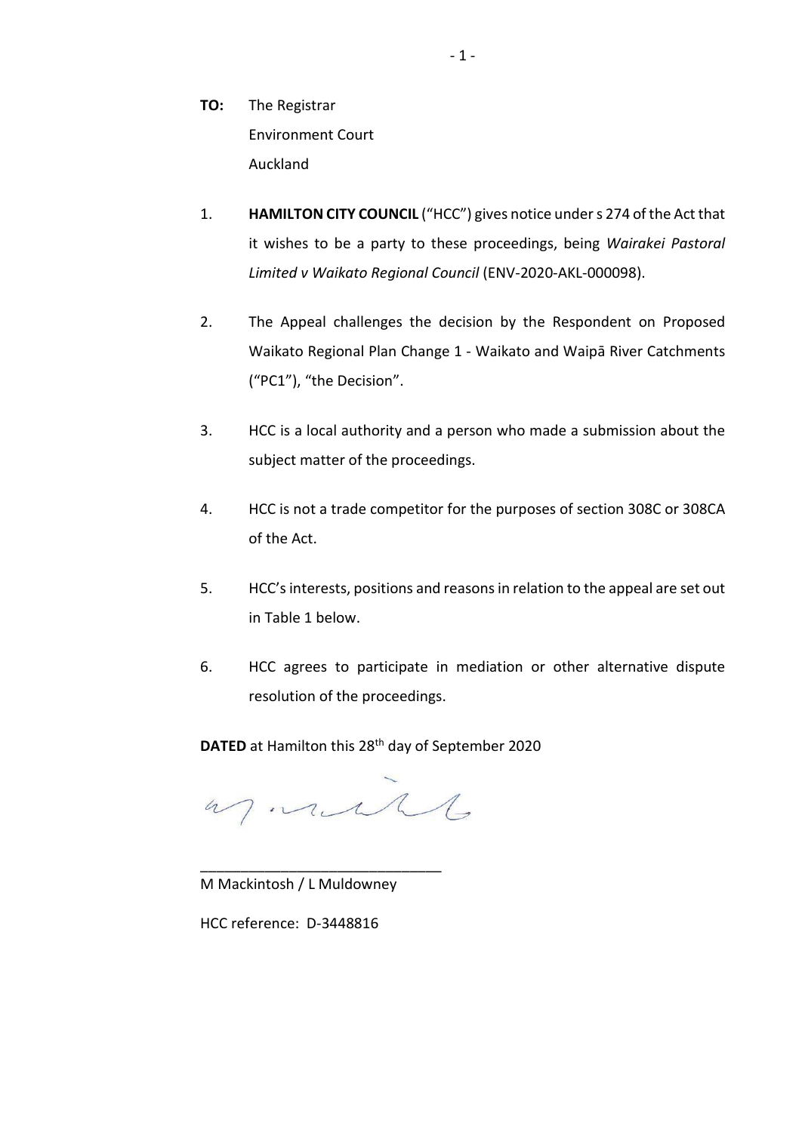- **TO:** The Registrar Environment Court Auckland
- 1. **HAMILTON CITY COUNCIL** ("HCC") gives notice under s 274 of the Act that it wishes to be a party to these proceedings, being *Wairakei Pastoral Limited v Waikato Regional Council* (ENV-2020-AKL-000098).
- 2. The Appeal challenges the decision by the Respondent on Proposed Waikato Regional Plan Change 1 - Waikato and Waipā River Catchments ("PC1"), "the Decision".
- 3. HCC is a local authority and a person who made a submission about the subject matter of the proceedings.
- 4. HCC is not a trade competitor for the purposes of section 308C or 308CA of the Act.
- 5. HCC's interests, positions and reasons in relation to the appeal are set out in Table 1 below.
- 6. HCC agrees to participate in mediation or other alternative dispute resolution of the proceedings.

**DATED** at Hamilton this 28th day of September 2020

as mail

M Mackintosh / L Muldowney

\_\_\_\_\_\_\_\_\_\_\_\_\_\_\_\_\_\_\_\_\_\_\_\_\_\_\_\_\_\_

HCC reference: D-3448816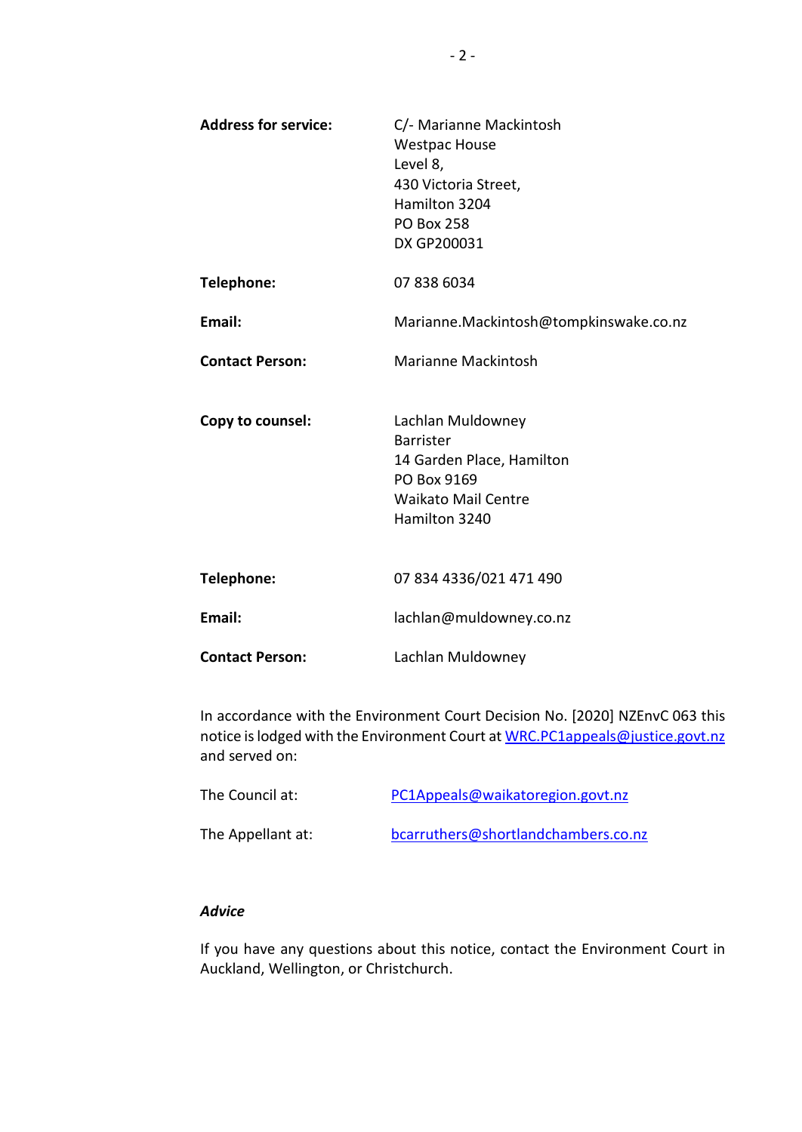| <b>Address for service:</b> | C/- Marianne Mackintosh<br><b>Westpac House</b><br>Level 8,<br>430 Victoria Street,<br>Hamilton 3204<br><b>PO Box 258</b><br>DX GP200031 |  |
|-----------------------------|------------------------------------------------------------------------------------------------------------------------------------------|--|
| Telephone:                  | 07 838 6034                                                                                                                              |  |
| Email:                      | Marianne.Mackintosh@tompkinswake.co.nz                                                                                                   |  |
| <b>Contact Person:</b>      | <b>Marianne Mackintosh</b>                                                                                                               |  |
| Copy to counsel:            | Lachlan Muldowney<br><b>Barrister</b><br>14 Garden Place, Hamilton<br>PO Box 9169<br><b>Waikato Mail Centre</b><br>Hamilton 3240         |  |
| Telephone:                  | 07 834 4336/021 471 490                                                                                                                  |  |
| Email:                      | lachlan@muldowney.co.nz                                                                                                                  |  |
| <b>Contact Person:</b>      | Lachlan Muldowney                                                                                                                        |  |

In accordance with the Environment Court Decision No. [2020] NZEnvC 063 this notice is lodged with the Environment Court at [WRC.PC1appeals@justice.govt.nz](mailto:WRC.PC1appeals@justice.govt.nz) and served on:

| The Council at:   | PC1Appeals@waikatoregion.govt.nz    |
|-------------------|-------------------------------------|
| The Appellant at: | bcarruthers@shortlandchambers.co.nz |

## *Advice*

If you have any questions about this notice, contact the Environment Court in Auckland, Wellington, or Christchurch.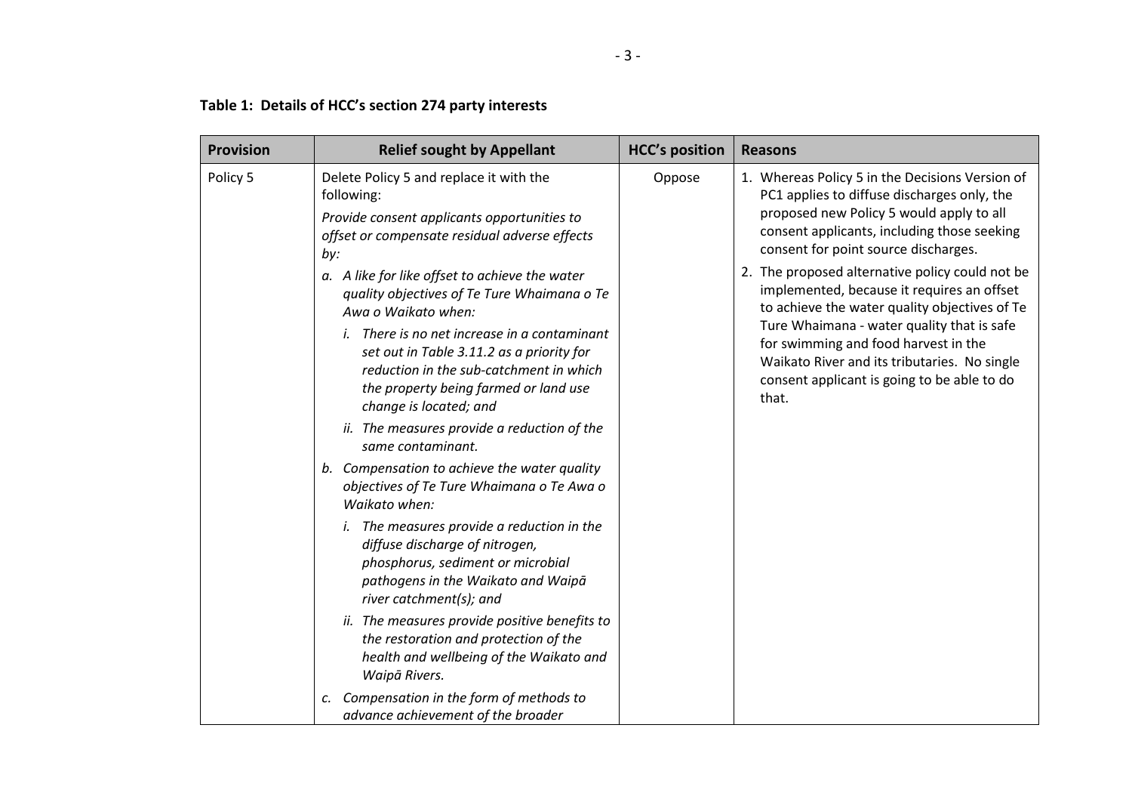# **Table 1: Details of HCC's section 274 party interests**

| <b>Provision</b>                                                                                                                                                                                                                                                                                                                                                                                         | <b>Relief sought by Appellant</b>                                                                                                                                                                              | <b>HCC's position</b> | <b>Reasons</b>                                                                                                                                                                                                                                                                                                                                                                                                                                                                                                                                                                              |
|----------------------------------------------------------------------------------------------------------------------------------------------------------------------------------------------------------------------------------------------------------------------------------------------------------------------------------------------------------------------------------------------------------|----------------------------------------------------------------------------------------------------------------------------------------------------------------------------------------------------------------|-----------------------|---------------------------------------------------------------------------------------------------------------------------------------------------------------------------------------------------------------------------------------------------------------------------------------------------------------------------------------------------------------------------------------------------------------------------------------------------------------------------------------------------------------------------------------------------------------------------------------------|
| Policy 5                                                                                                                                                                                                                                                                                                                                                                                                 | Delete Policy 5 and replace it with the<br>following:<br>Provide consent applicants opportunities to<br>offset or compensate residual adverse effects<br>by:<br>a. A like for like offset to achieve the water |                       | Oppose<br>1. Whereas Policy 5 in the Decisions Version of<br>PC1 applies to diffuse discharges only, the<br>proposed new Policy 5 would apply to all<br>consent applicants, including those seeking<br>consent for point source discharges.<br>2. The proposed alternative policy could not be<br>implemented, because it requires an offset<br>to achieve the water quality objectives of Te<br>Ture Whaimana - water quality that is safe<br>for swimming and food harvest in the<br>Waikato River and its tributaries. No single<br>consent applicant is going to be able to do<br>that. |
| quality objectives of Te Ture Whaimana o Te<br>Awa o Waikato when:<br><i>i.</i> There is no net increase in a contaminant<br>set out in Table 3.11.2 as a priority for<br>reduction in the sub-catchment in which<br>the property being farmed or land use<br>change is located; and<br>ii. The measures provide a reduction of the<br>same contaminant.<br>b. Compensation to achieve the water quality |                                                                                                                                                                                                                |                       |                                                                                                                                                                                                                                                                                                                                                                                                                                                                                                                                                                                             |
| Waikato when:<br><i>i.</i> The measures provide a reduction in the<br>diffuse discharge of nitrogen,<br>phosphorus, sediment or microbial<br>river catchment(s); and                                                                                                                                                                                                                                     | objectives of Te Ture Whaimana o Te Awa o                                                                                                                                                                      |                       |                                                                                                                                                                                                                                                                                                                                                                                                                                                                                                                                                                                             |
|                                                                                                                                                                                                                                                                                                                                                                                                          | pathogens in the Waikato and Waipā                                                                                                                                                                             |                       |                                                                                                                                                                                                                                                                                                                                                                                                                                                                                                                                                                                             |
|                                                                                                                                                                                                                                                                                                                                                                                                          | ii. The measures provide positive benefits to<br>the restoration and protection of the<br>health and wellbeing of the Waikato and<br>Waipā Rivers.                                                             |                       |                                                                                                                                                                                                                                                                                                                                                                                                                                                                                                                                                                                             |
|                                                                                                                                                                                                                                                                                                                                                                                                          | Compensation in the form of methods to<br>с.<br>advance achievement of the broader                                                                                                                             |                       |                                                                                                                                                                                                                                                                                                                                                                                                                                                                                                                                                                                             |